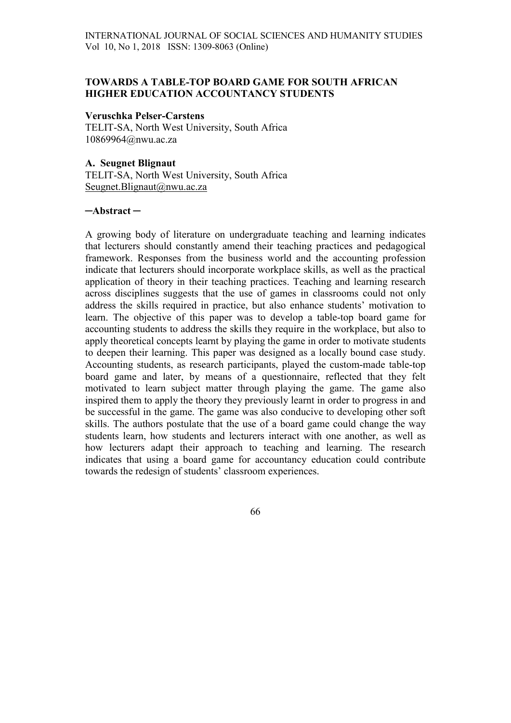## TOWARDS A TABLE-TOP BOARD GAME FOR SOUTH AFRICAN HIGHER EDUCATION ACCOUNTANCY STUDENTS

#### Veruschka Pelser-Carstens

TELIT-SA, North West University, South Africa 10869964@nwu.ac.za

#### A. Seugnet Blignaut

TELIT-SA, North West University, South Africa Seugnet.Blignaut@nwu.ac.za

#### ─Abstract ─

A growing body of literature on undergraduate teaching and learning indicates that lecturers should constantly amend their teaching practices and pedagogical framework. Responses from the business world and the accounting profession indicate that lecturers should incorporate workplace skills, as well as the practical application of theory in their teaching practices. Teaching and learning research across disciplines suggests that the use of games in classrooms could not only address the skills required in practice, but also enhance students' motivation to learn. The objective of this paper was to develop a table-top board game for accounting students to address the skills they require in the workplace, but also to apply theoretical concepts learnt by playing the game in order to motivate students to deepen their learning. This paper was designed as a locally bound case study. Accounting students, as research participants, played the custom-made table-top board game and later, by means of a questionnaire, reflected that they felt motivated to learn subject matter through playing the game. The game also inspired them to apply the theory they previously learnt in order to progress in and be successful in the game. The game was also conducive to developing other soft skills. The authors postulate that the use of a board game could change the way students learn, how students and lecturers interact with one another, as well as how lecturers adapt their approach to teaching and learning. The research indicates that using a board game for accountancy education could contribute towards the redesign of students' classroom experiences.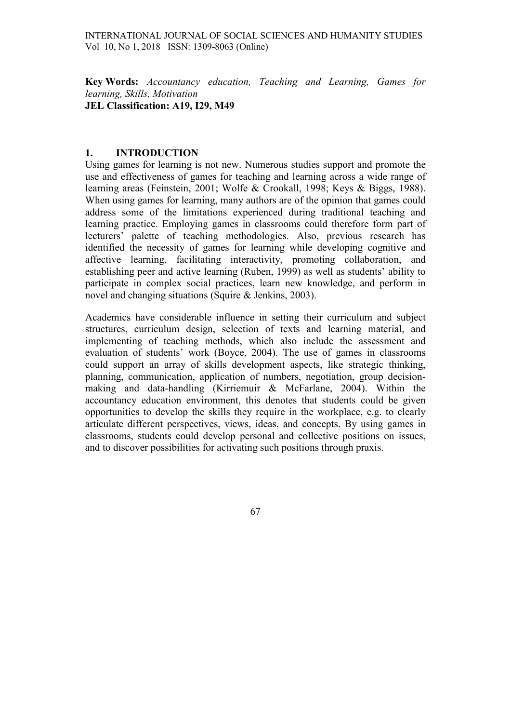Key Words: Accountancy education, Teaching and Learning, Games for learning, Skills, Motivation JEL Classification: A19, I29, M49

## 1. INTRODUCTION

Using games for learning is not new. Numerous studies support and promote the use and effectiveness of games for teaching and learning across a wide range of learning areas (Feinstein, 2001; Wolfe & Crookall, 1998; Keys & Biggs, 1988). When using games for learning, many authors are of the opinion that games could address some of the limitations experienced during traditional teaching and learning practice. Employing games in classrooms could therefore form part of lecturers' palette of teaching methodologies. Also, previous research has identified the necessity of games for learning while developing cognitive and affective learning, facilitating interactivity, promoting collaboration, and establishing peer and active learning (Ruben, 1999) as well as students' ability to participate in complex social practices, learn new knowledge, and perform in novel and changing situations (Squire & Jenkins, 2003).

Academics have considerable influence in setting their curriculum and subject structures, curriculum design, selection of texts and learning material, and implementing of teaching methods, which also include the assessment and evaluation of students' work (Boyce, 2004). The use of games in classrooms could support an array of skills development aspects, like strategic thinking, planning, communication, application of numbers, negotiation, group decisionmaking and data-handling (Kirriemuir & McFarlane, 2004). Within the accountancy education environment, this denotes that students could be given opportunities to develop the skills they require in the workplace, e.g. to clearly articulate different perspectives, views, ideas, and concepts. By using games in classrooms, students could develop personal and collective positions on issues, and to discover possibilities for activating such positions through praxis.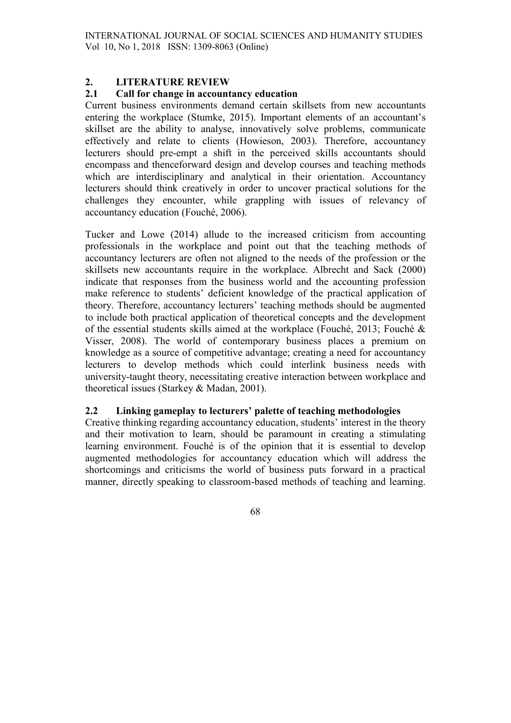# 2. LITERATURE REVIEW

## 2.1 Call for change in accountancy education

Current business environments demand certain skillsets from new accountants entering the workplace (Stumke, 2015). Important elements of an accountant's skillset are the ability to analyse, innovatively solve problems, communicate effectively and relate to clients (Howieson, 2003). Therefore, accountancy lecturers should pre-empt a shift in the perceived skills accountants should encompass and thenceforward design and develop courses and teaching methods which are interdisciplinary and analytical in their orientation. Accountancy lecturers should think creatively in order to uncover practical solutions for the challenges they encounter, while grappling with issues of relevancy of accountancy education (Fouché, 2006).

Tucker and Lowe (2014) allude to the increased criticism from accounting professionals in the workplace and point out that the teaching methods of accountancy lecturers are often not aligned to the needs of the profession or the skillsets new accountants require in the workplace. Albrecht and Sack (2000) indicate that responses from the business world and the accounting profession make reference to students' deficient knowledge of the practical application of theory. Therefore, accountancy lecturers' teaching methods should be augmented to include both practical application of theoretical concepts and the development of the essential students skills aimed at the workplace (Fouché, 2013; Fouché & Visser, 2008). The world of contemporary business places a premium on knowledge as a source of competitive advantage; creating a need for accountancy lecturers to develop methods which could interlink business needs with university-taught theory, necessitating creative interaction between workplace and theoretical issues (Starkey & Madan, 2001).

# 2.2 Linking gameplay to lecturers' palette of teaching methodologies

Creative thinking regarding accountancy education, students' interest in the theory and their motivation to learn, should be paramount in creating a stimulating learning environment. Fouché is of the opinion that it is essential to develop augmented methodologies for accountancy education which will address the shortcomings and criticisms the world of business puts forward in a practical manner, directly speaking to classroom-based methods of teaching and learning.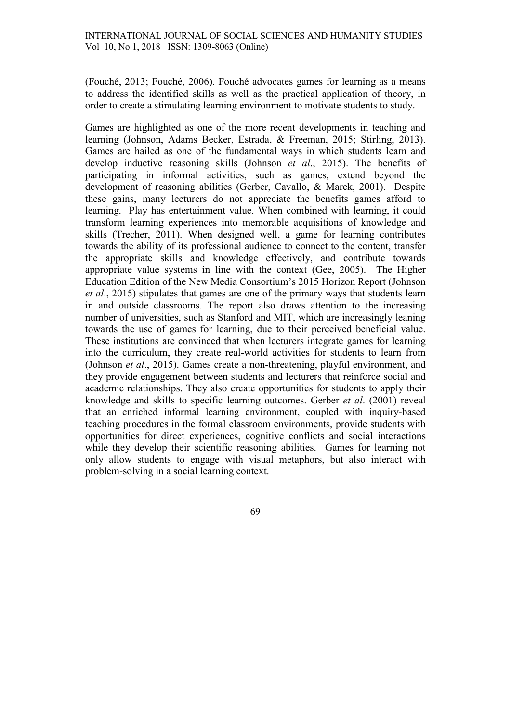(Fouché, 2013; Fouché, 2006). Fouché advocates games for learning as a means to address the identified skills as well as the practical application of theory, in order to create a stimulating learning environment to motivate students to study.

Games are highlighted as one of the more recent developments in teaching and learning (Johnson, Adams Becker, Estrada, & Freeman, 2015; Stirling, 2013). Games are hailed as one of the fundamental ways in which students learn and develop inductive reasoning skills (Johnson et al., 2015). The benefits of participating in informal activities, such as games, extend beyond the development of reasoning abilities (Gerber, Cavallo, & Marek, 2001). Despite these gains, many lecturers do not appreciate the benefits games afford to learning. Play has entertainment value. When combined with learning, it could transform learning experiences into memorable acquisitions of knowledge and skills (Trecher, 2011). When designed well, a game for learning contributes towards the ability of its professional audience to connect to the content, transfer the appropriate skills and knowledge effectively, and contribute towards appropriate value systems in line with the context (Gee, 2005). The Higher Education Edition of the New Media Consortium's 2015 Horizon Report (Johnson et al., 2015) stipulates that games are one of the primary ways that students learn in and outside classrooms. The report also draws attention to the increasing number of universities, such as Stanford and MIT, which are increasingly leaning towards the use of games for learning, due to their perceived beneficial value. These institutions are convinced that when lecturers integrate games for learning into the curriculum, they create real-world activities for students to learn from (Johnson et al., 2015). Games create a non-threatening, playful environment, and they provide engagement between students and lecturers that reinforce social and academic relationships. They also create opportunities for students to apply their knowledge and skills to specific learning outcomes. Gerber et al. (2001) reveal that an enriched informal learning environment, coupled with inquiry-based teaching procedures in the formal classroom environments, provide students with opportunities for direct experiences, cognitive conflicts and social interactions while they develop their scientific reasoning abilities. Games for learning not only allow students to engage with visual metaphors, but also interact with problem-solving in a social learning context.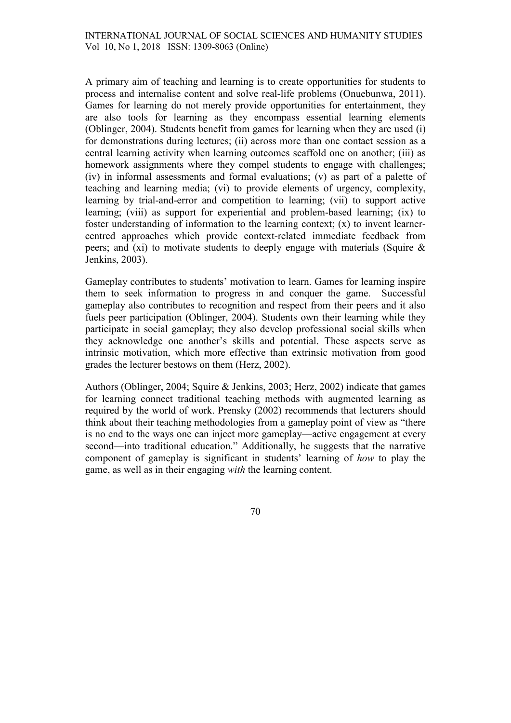A primary aim of teaching and learning is to create opportunities for students to process and internalise content and solve real-life problems (Onuebunwa, 2011). Games for learning do not merely provide opportunities for entertainment, they are also tools for learning as they encompass essential learning elements (Oblinger, 2004). Students benefit from games for learning when they are used (i) for demonstrations during lectures; (ii) across more than one contact session as a central learning activity when learning outcomes scaffold one on another; (iii) as homework assignments where they compel students to engage with challenges; (iv) in informal assessments and formal evaluations; (v) as part of a palette of teaching and learning media; (vi) to provide elements of urgency, complexity, learning by trial-and-error and competition to learning; (vii) to support active learning; (viii) as support for experiential and problem-based learning; (ix) to foster understanding of information to the learning context; (x) to invent learnercentred approaches which provide context-related immediate feedback from peers; and (xi) to motivate students to deeply engage with materials (Squire & Jenkins, 2003).

Gameplay contributes to students' motivation to learn. Games for learning inspire them to seek information to progress in and conquer the game. Successful gameplay also contributes to recognition and respect from their peers and it also fuels peer participation (Oblinger, 2004). Students own their learning while they participate in social gameplay; they also develop professional social skills when they acknowledge one another's skills and potential. These aspects serve as intrinsic motivation, which more effective than extrinsic motivation from good grades the lecturer bestows on them (Herz, 2002).

Authors (Oblinger, 2004; Squire & Jenkins, 2003; Herz, 2002) indicate that games for learning connect traditional teaching methods with augmented learning as required by the world of work. Prensky (2002) recommends that lecturers should think about their teaching methodologies from a gameplay point of view as "there is no end to the ways one can inject more gameplay—active engagement at every second—into traditional education." Additionally, he suggests that the narrative component of gameplay is significant in students' learning of how to play the game, as well as in their engaging with the learning content.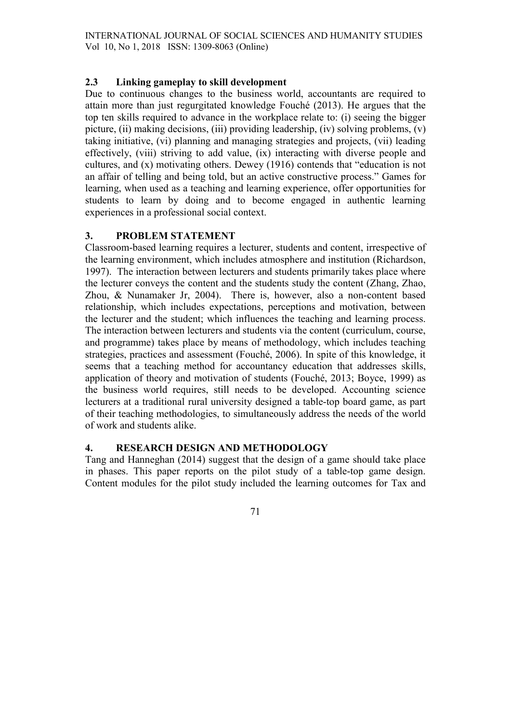# 2.3 Linking gameplay to skill development

Due to continuous changes to the business world, accountants are required to attain more than just regurgitated knowledge Fouché (2013). He argues that the top ten skills required to advance in the workplace relate to: (i) seeing the bigger picture, (ii) making decisions, (iii) providing leadership, (iv) solving problems, (v) taking initiative, (vi) planning and managing strategies and projects, (vii) leading effectively, (viii) striving to add value, (ix) interacting with diverse people and cultures, and (x) motivating others. Dewey (1916) contends that "education is not an affair of telling and being told, but an active constructive process." Games for learning, when used as a teaching and learning experience, offer opportunities for students to learn by doing and to become engaged in authentic learning experiences in a professional social context.

# 3. PROBLEM STATEMENT

Classroom-based learning requires a lecturer, students and content, irrespective of the learning environment, which includes atmosphere and institution (Richardson, 1997). The interaction between lecturers and students primarily takes place where the lecturer conveys the content and the students study the content (Zhang, Zhao, Zhou, & Nunamaker Jr, 2004). There is, however, also a non-content based relationship, which includes expectations, perceptions and motivation, between the lecturer and the student; which influences the teaching and learning process. The interaction between lecturers and students via the content (curriculum, course, and programme) takes place by means of methodology, which includes teaching strategies, practices and assessment (Fouché, 2006). In spite of this knowledge, it seems that a teaching method for accountancy education that addresses skills, application of theory and motivation of students (Fouché, 2013; Boyce, 1999) as the business world requires, still needs to be developed. Accounting science lecturers at a traditional rural university designed a table-top board game, as part of their teaching methodologies, to simultaneously address the needs of the world of work and students alike.

## 4. RESEARCH DESIGN AND METHODOLOGY

Tang and Hanneghan (2014) suggest that the design of a game should take place in phases. This paper reports on the pilot study of a table-top game design. Content modules for the pilot study included the learning outcomes for Tax and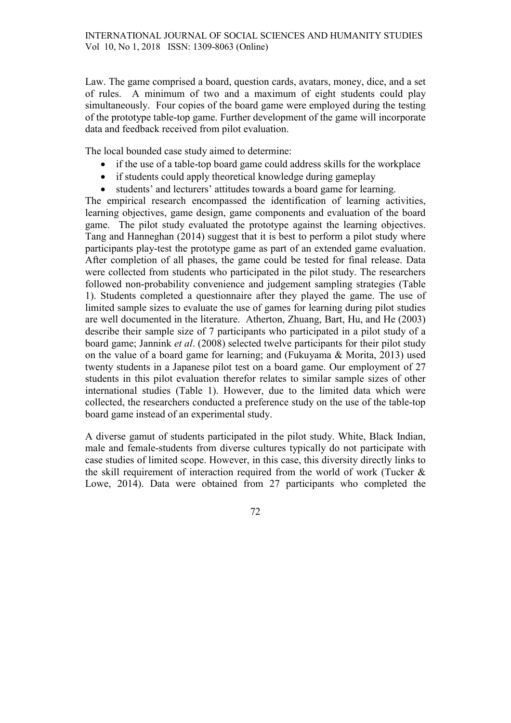Law. The game comprised a board, question cards, avatars, money, dice, and a set of rules. A minimum of two and a maximum of eight students could play simultaneously. Four copies of the board game were employed during the testing of the prototype table-top game. Further development of the game will incorporate data and feedback received from pilot evaluation.

The local bounded case study aimed to determine:

- if the use of a table-top board game could address skills for the workplace
- if students could apply theoretical knowledge during gameplay
- students' and lecturers' attitudes towards a board game for learning.

The empirical research encompassed the identification of learning activities, learning objectives, game design, game components and evaluation of the board game. The pilot study evaluated the prototype against the learning objectives. Tang and Hanneghan (2014) suggest that it is best to perform a pilot study where participants play-test the prototype game as part of an extended game evaluation. After completion of all phases, the game could be tested for final release. Data were collected from students who participated in the pilot study. The researchers followed non-probability convenience and judgement sampling strategies (Table 1). Students completed a questionnaire after they played the game. The use of limited sample sizes to evaluate the use of games for learning during pilot studies are well documented in the literature. Atherton, Zhuang, Bart, Hu, and He (2003) describe their sample size of 7 participants who participated in a pilot study of a board game; Jannink et al. (2008) selected twelve participants for their pilot study on the value of a board game for learning; and (Fukuyama & Morita, 2013) used twenty students in a Japanese pilot test on a board game. Our employment of 27 students in this pilot evaluation therefor relates to similar sample sizes of other international studies (Table 1). However, due to the limited data which were collected, the researchers conducted a preference study on the use of the table-top board game instead of an experimental study.

A diverse gamut of students participated in the pilot study. White, Black Indian, male and female-students from diverse cultures typically do not participate with case studies of limited scope. However, in this case, this diversity directly links to the skill requirement of interaction required from the world of work (Tucker & Lowe, 2014). Data were obtained from 27 participants who completed the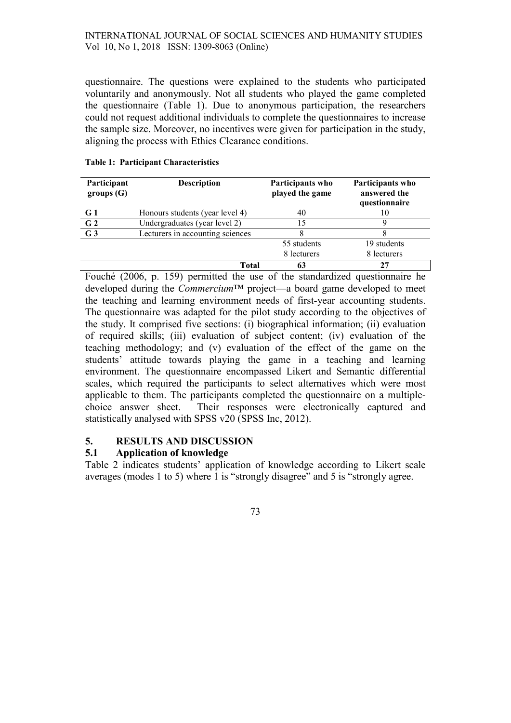#### INTERNATIONAL JOURNAL OF SOCIAL SCIENCES AND HUMANITY STUDIES Vol 10, No 1, 2018 ISSN: 1309-8063 (Online)

questionnaire. The questions were explained to the students who participated voluntarily and anonymously. Not all students who played the game completed the questionnaire (Table 1). Due to anonymous participation, the researchers could not request additional individuals to complete the questionnaires to increase the sample size. Moreover, no incentives were given for participation in the study, aligning the process with Ethics Clearance conditions.

| Participant<br>groups(G) | <b>Description</b>               | Participants who<br>played the game | Participants who<br>answered the<br>questionnaire |
|--------------------------|----------------------------------|-------------------------------------|---------------------------------------------------|
| G1                       | Honours students (year level 4)  | 40                                  | 10                                                |
| G <sub>2</sub>           | Undergraduates (year level 2)    | 15                                  |                                                   |
| G <sub>3</sub>           | Lecturers in accounting sciences |                                     |                                                   |
|                          |                                  | 55 students                         | 19 students                                       |
|                          |                                  | 8 lecturers                         | 8 lecturers                                       |
|                          | <b>Total</b>                     |                                     |                                                   |

#### Table 1: Participant Characteristics

Fouché (2006, p. 159) permitted the use of the standardized questionnaire he developed during the *Commercium*<sup>TM</sup> project—a board game developed to meet the teaching and learning environment needs of first-year accounting students. The questionnaire was adapted for the pilot study according to the objectives of the study. It comprised five sections: (i) biographical information; (ii) evaluation of required skills; (iii) evaluation of subject content; (iv) evaluation of the teaching methodology; and (v) evaluation of the effect of the game on the students' attitude towards playing the game in a teaching and learning environment. The questionnaire encompassed Likert and Semantic differential scales, which required the participants to select alternatives which were most applicable to them. The participants completed the questionnaire on a multiplechoice answer sheet. Their responses were electronically captured and statistically analysed with SPSS v20 (SPSS Inc, 2012).

## 5. RESULTS AND DISCUSSION

## 5.1 Application of knowledge

Table 2 indicates students' application of knowledge according to Likert scale averages (modes 1 to 5) where 1 is "strongly disagree" and 5 is "strongly agree.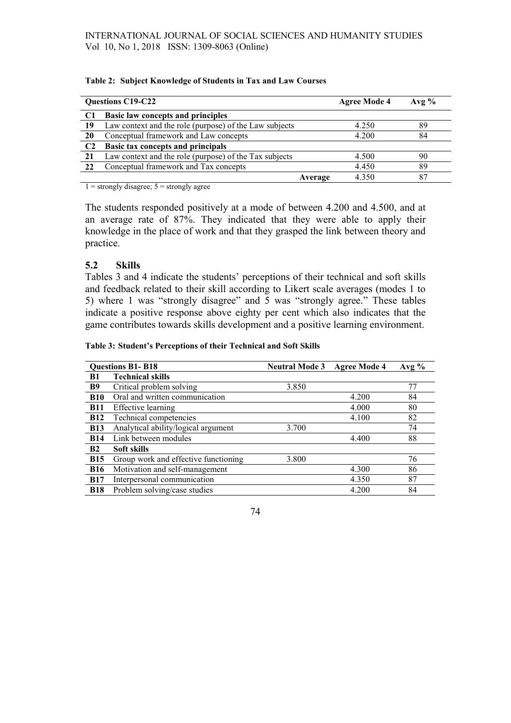|    | <b>Questions C19-C22</b>                               | <b>Agree Mode 4</b> | Avg $\%$ |
|----|--------------------------------------------------------|---------------------|----------|
|    | <b>Basic law concepts and principles</b>               |                     |          |
| 19 | Law context and the role (purpose) of the Law subjects | 4.250               | 89       |
| 20 | Conceptual framework and Law concepts                  | 4.200               | 84       |
|    | Basic tax concepts and principals                      |                     |          |
| 21 | Law context and the role (purpose) of the Tax subjects | 4.500               | 90       |
| 22 | Conceptual framework and Tax concepts                  | 4.450               | 89       |
|    | Average                                                | 4.350               | -87      |

#### Table 2: Subject Knowledge of Students in Tax and Law Courses

 $1 =$  strongly disagree;  $5 =$  strongly agree

The students responded positively at a mode of between 4.200 and 4.500, and at an average rate of 87%. They indicated that they were able to apply their knowledge in the place of work and that they grasped the link between theory and practice.

## 5.2 Skills

Tables 3 and 4 indicate the students' perceptions of their technical and soft skills and feedback related to their skill according to Likert scale averages (modes 1 to 5) where 1 was "strongly disagree" and 5 was "strongly agree." These tables indicate a positive response above eighty per cent which also indicates that the game contributes towards skills development and a positive learning environment.

#### Table 3: Student's Perceptions of their Technical and Soft Skills

| <b>Questions B1-B18</b> |                                      | <b>Neutral Mode 3</b> | <b>Agree Mode 4</b> | Avg $%$ |  |
|-------------------------|--------------------------------------|-----------------------|---------------------|---------|--|
| <b>B1</b>               | <b>Technical skills</b>              |                       |                     |         |  |
| <b>B</b> 9              | Critical problem solving             | 3.850                 |                     | 77      |  |
| <b>B10</b>              | Oral and written communication       |                       | 4.200               | 84      |  |
| <b>B11</b>              | <b>Effective</b> learning            |                       | 4.000               | 80      |  |
| <b>B12</b>              | Technical competencies               |                       | 4.100               | 82      |  |
| <b>B13</b>              | Analytical ability/logical argument  | 3.700                 |                     | 74      |  |
| <b>B14</b>              | Link between modules                 |                       | 4.400               | 88      |  |
| B <sub>2</sub>          | Soft skills                          |                       |                     |         |  |
| <b>B15</b>              | Group work and effective functioning | 3.800                 |                     | 76      |  |
| <b>B16</b>              | Motivation and self-management       |                       | 4.300               | 86      |  |
| <b>B17</b>              | Interpersonal communication          |                       | 4.350               | 87      |  |
| <b>B18</b>              | Problem solving/case studies         |                       | 4.200               | 84      |  |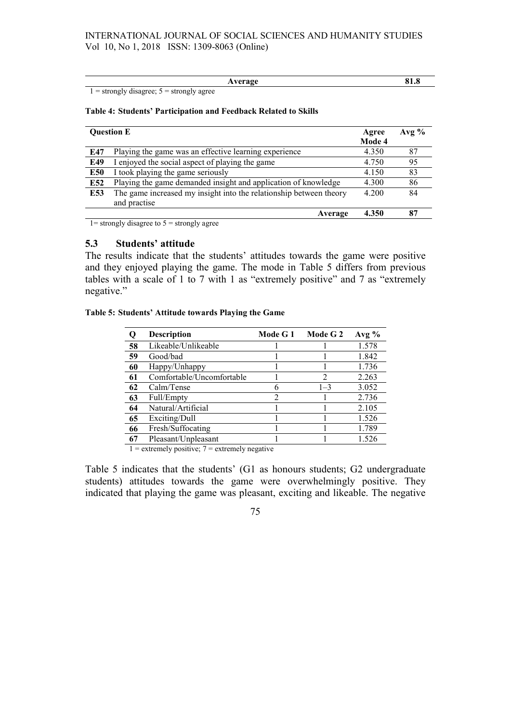|  |  | verage<br>4<br>1111 | 01.0 |
|--|--|---------------------|------|
|  |  |                     |      |

 $1 =$  strongly disagree;  $5 =$  strongly agree

#### Table 4: Students' Participation and Feedback Related to Skills

|     | <b>Ouestion E</b>                                                                  | Agree<br>Mode 4 | Avg $\%$ |
|-----|------------------------------------------------------------------------------------|-----------------|----------|
| E47 | Playing the game was an effective learning experience                              | 4.350           | 87       |
| E49 | I enjoyed the social aspect of playing the game                                    | 4.750           | 95       |
| E50 | I took playing the game seriously                                                  | 4.150           | 83       |
| E52 | Playing the game demanded insight and application of knowledge                     | 4.300           | 86       |
| E53 | The game increased my insight into the relationship between theory<br>and practise | 4.200           | 84       |
|     | Average                                                                            | 4.350           | 87       |

 $1=$  strongly disagree to  $5 =$  strongly agree

## 5.3 Students' attitude

The results indicate that the students' attitudes towards the game were positive and they enjoyed playing the game. The mode in Table 5 differs from previous tables with a scale of 1 to 7 with 1 as "extremely positive" and 7 as "extremely negative."

#### Table 5: Students' Attitude towards Playing the Game

|    | <b>Description</b>        | Mode G 1      | Mode G 2 | Avg $%$ |
|----|---------------------------|---------------|----------|---------|
| 58 | Likeable/Unlikeable       |               |          | 1.578   |
| 59 | Good/bad                  |               |          | 1.842   |
| 60 | Happy/Unhappy             |               |          | 1.736   |
| 61 | Comfortable/Uncomfortable |               |          | 2.263   |
| 62 | Calm/Tense                |               | $1 - 3$  | 3.052   |
| 63 | Full/Empty                | $\mathcal{D}$ |          | 2.736   |
| 64 | Natural/Artificial        |               |          | 2.105   |
| 65 | Exciting/Dull             |               |          | 1.526   |
| 66 | Fresh/Suffocating         |               |          | 1.789   |
| 67 | Pleasant/Unpleasant       |               |          | 1.526   |

 $1 =$  extremely positive;  $7 =$  extremely negative

Table 5 indicates that the students' (G1 as honours students; G2 undergraduate students) attitudes towards the game were overwhelmingly positive. They indicated that playing the game was pleasant, exciting and likeable. The negative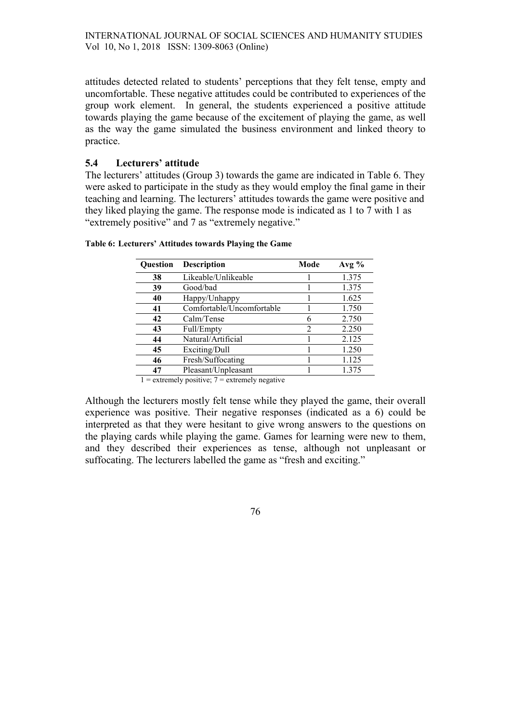attitudes detected related to students' perceptions that they felt tense, empty and uncomfortable. These negative attitudes could be contributed to experiences of the group work element. In general, the students experienced a positive attitude towards playing the game because of the excitement of playing the game, as well as the way the game simulated the business environment and linked theory to practice.

# 5.4 Lecturers' attitude

The lecturers' attitudes (Group 3) towards the game are indicated in Table 6. They were asked to participate in the study as they would employ the final game in their teaching and learning. The lecturers' attitudes towards the game were positive and they liked playing the game. The response mode is indicated as 1 to 7 with 1 as "extremely positive" and 7 as "extremely negative."

| <b>Ouestion</b> | <b>Description</b>        | Mode                          | Avg $%$ |
|-----------------|---------------------------|-------------------------------|---------|
| 38              | Likeable/Unlikeable       |                               | 1.375   |
| 39              | Good/bad                  |                               | 1.375   |
| 40              | Happy/Unhappy             |                               | 1.625   |
| 41              | Comfortable/Uncomfortable |                               | 1.750   |
| 42              | Calm/Tense                |                               | 2.750   |
| 43              | Full/Empty                | $\mathfrak{D}_{\mathfrak{p}}$ | 2.250   |
| 44              | Natural/Artificial        |                               | 2.125   |
| 45              | Exciting/Dull             |                               | 1.250   |
| 46              | Fresh/Suffocating         |                               | 1.125   |
| 47              | Pleasant/Unpleasant       |                               | 1.375   |

Table 6: Lecturers' Attitudes towards Playing the Game

 $1 =$  extremely positive;  $7 =$  extremely negative

Although the lecturers mostly felt tense while they played the game, their overall experience was positive. Their negative responses (indicated as a 6) could be interpreted as that they were hesitant to give wrong answers to the questions on the playing cards while playing the game. Games for learning were new to them, and they described their experiences as tense, although not unpleasant or suffocating. The lecturers labelled the game as "fresh and exciting."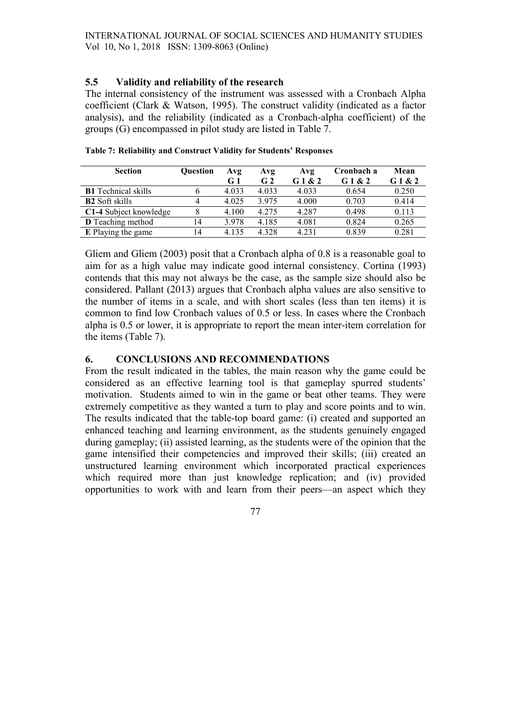## 5.5 Validity and reliability of the research

The internal consistency of the instrument was assessed with a Cronbach Alpha coefficient (Clark & Watson, 1995). The construct validity (indicated as a factor analysis), and the reliability (indicated as a Cronbach-alpha coefficient) of the groups (G) encompassed in pilot study are listed in Table 7.

| <b>Section</b>             | <b>Ouestion</b> | Avg            | Avg            | Avg    | Cronbach a | Mean   |
|----------------------------|-----------------|----------------|----------------|--------|------------|--------|
|                            |                 | G <sub>1</sub> | G <sub>2</sub> | G1 & 2 | G1 & 2     | G1 & 2 |
| <b>B1</b> Technical skills |                 | 4.033          | 4.033          | 4.033  | 0.654      | 0.250  |
| <b>B2</b> Soft skills      |                 | 4.025          | 3.975          | 4.000  | 0.703      | 0.414  |
| C1-4 Subject knowledge     |                 | 4.100          | 4.275          | 4.287  | 0.498      | 0.113  |
| D Teaching method          | 14              | 3.978          | 4.185          | 4.081  | 0.824      | 0.265  |
| E Playing the game         | 14              | 4.135          | 4.328          | 4.231  | 0.839      | 0.281  |

Table 7: Reliability and Construct Validity for Students' Responses

Gliem and Gliem (2003) posit that a Cronbach alpha of 0.8 is a reasonable goal to aim for as a high value may indicate good internal consistency. Cortina (1993) contends that this may not always be the case, as the sample size should also be considered. Pallant (2013) argues that Cronbach alpha values are also sensitive to the number of items in a scale, and with short scales (less than ten items) it is common to find low Cronbach values of 0.5 or less. In cases where the Cronbach alpha is 0.5 or lower, it is appropriate to report the mean inter-item correlation for the items (Table 7).

# 6. CONCLUSIONS AND RECOMMENDATIONS

From the result indicated in the tables, the main reason why the game could be considered as an effective learning tool is that gameplay spurred students' motivation. Students aimed to win in the game or beat other teams. They were extremely competitive as they wanted a turn to play and score points and to win. The results indicated that the table-top board game: (i) created and supported an enhanced teaching and learning environment, as the students genuinely engaged during gameplay; (ii) assisted learning, as the students were of the opinion that the game intensified their competencies and improved their skills; (iii) created an unstructured learning environment which incorporated practical experiences which required more than just knowledge replication; and (iv) provided opportunities to work with and learn from their peers—an aspect which they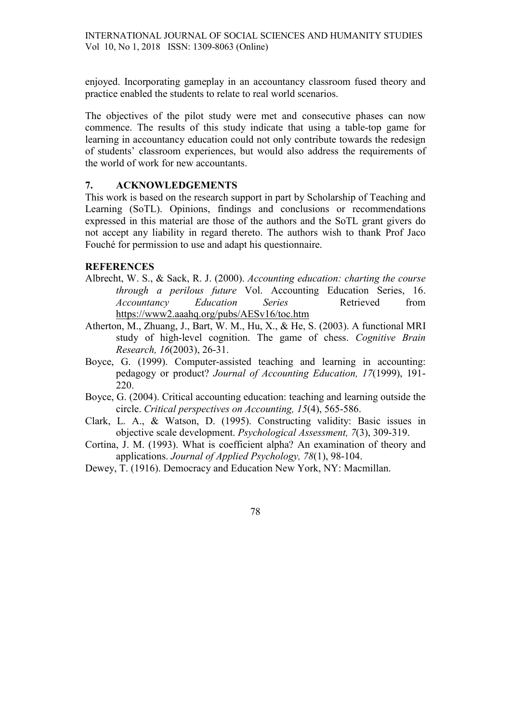enjoyed. Incorporating gameplay in an accountancy classroom fused theory and practice enabled the students to relate to real world scenarios.

The objectives of the pilot study were met and consecutive phases can now commence. The results of this study indicate that using a table-top game for learning in accountancy education could not only contribute towards the redesign of students' classroom experiences, but would also address the requirements of the world of work for new accountants.

### 7. ACKNOWLEDGEMENTS

This work is based on the research support in part by Scholarship of Teaching and Learning (SoTL). Opinions, findings and conclusions or recommendations expressed in this material are those of the authors and the SoTL grant givers do not accept any liability in regard thereto. The authors wish to thank Prof Jaco Fouché for permission to use and adapt his questionnaire.

#### **REFERENCES**

- Albrecht, W. S., & Sack, R. J. (2000). Accounting education: charting the course through a perilous future Vol. Accounting Education Series, 16. Accountancy Education Series Retrieved from https://www2.aaahq.org/pubs/AESv16/toc.htm
- Atherton, M., Zhuang, J., Bart, W. M., Hu, X., & He, S. (2003). A functional MRI study of high-level cognition. The game of chess. Cognitive Brain Research, 16(2003), 26-31.
- Boyce, G. (1999). Computer-assisted teaching and learning in accounting: pedagogy or product? Journal of Accounting Education, 17(1999), 191- 220.
- Boyce, G. (2004). Critical accounting education: teaching and learning outside the circle. Critical perspectives on Accounting, 15(4), 565-586.
- Clark, L. A., & Watson, D. (1995). Constructing validity: Basic issues in objective scale development. Psychological Assessment, 7(3), 309-319.
- Cortina, J. M. (1993). What is coefficient alpha? An examination of theory and applications. Journal of Applied Psychology, 78(1), 98-104.
- Dewey, T. (1916). Democracy and Education New York, NY: Macmillan.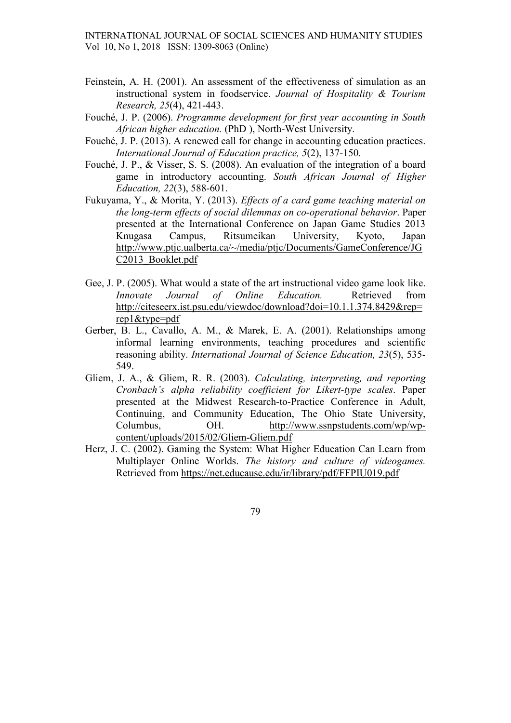- Feinstein, A. H. (2001). An assessment of the effectiveness of simulation as an instructional system in foodservice. Journal of Hospitality & Tourism Research, 25(4), 421-443.
- Fouché, J. P. (2006). Programme development for first year accounting in South African higher education. (PhD ), North-West University.
- Fouché, J. P. (2013). A renewed call for change in accounting education practices. International Journal of Education practice, 5(2), 137-150.
- Fouché, J. P., & Visser, S. S. (2008). An evaluation of the integration of a board game in introductory accounting. South African Journal of Higher Education, 22(3), 588-601.
- Fukuyama, Y., & Morita, Y. (2013). Effects of a card game teaching material on the long-term effects of social dilemmas on co-operational behavior. Paper presented at the International Conference on Japan Game Studies 2013 Knugasa Campus, Ritsumeikan University, Kyoto, Japan http://www.ptjc.ualberta.ca/~/media/ptjc/Documents/GameConference/JG C2013\_Booklet.pdf
- Gee, J. P. (2005). What would a state of the art instructional video game look like. Innovate Journal of Online Education. Retrieved from http://citeseerx.ist.psu.edu/viewdoc/download?doi=10.1.1.374.8429&rep= rep1&type=pdf
- Gerber, B. L., Cavallo, A. M., & Marek, E. A. (2001). Relationships among informal learning environments, teaching procedures and scientific reasoning ability. International Journal of Science Education, 23(5), 535- 549.
- Gliem, J. A., & Gliem, R. R. (2003). Calculating, interpreting, and reporting Cronbach's alpha reliability coefficient for Likert-type scales. Paper presented at the Midwest Research-to-Practice Conference in Adult, Continuing, and Community Education, The Ohio State University, Columbus, OH. http://www.ssnpstudents.com/wp/wpcontent/uploads/2015/02/Gliem-Gliem.pdf
- Herz, J. C. (2002). Gaming the System: What Higher Education Can Learn from Multiplayer Online Worlds. The history and culture of videogames. Retrieved from https://net.educause.edu/ir/library/pdf/FFPIU019.pdf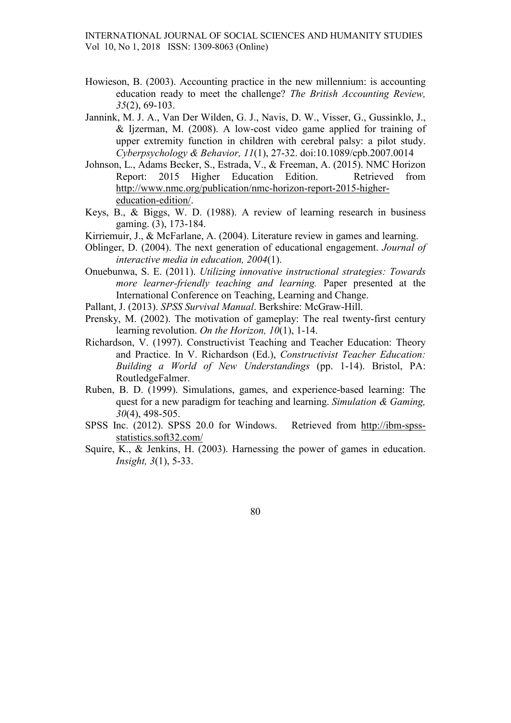- Howieson, B. (2003). Accounting practice in the new millennium: is accounting education ready to meet the challenge? The British Accounting Review, 35(2), 69-103.
- Jannink, M. J. A., Van Der Wilden, G. J., Navis, D. W., Visser, G., Gussinklo, J., & Ijzerman, M. (2008). A low-cost video game applied for training of upper extremity function in children with cerebral palsy: a pilot study. Cyberpsychology & Behavior, 11(1), 27-32. doi:10.1089/cpb.2007.0014
- Johnson, L., Adams Becker, S., Estrada, V., & Freeman, A. (2015). NMC Horizon Report: 2015 Higher Education Edition. Retrieved from http://www.nmc.org/publication/nmc-horizon-report-2015-highereducation-edition/.
- Keys, B., & Biggs, W. D. (1988). A review of learning research in business gaming. (3), 173-184.
- Kirriemuir, J., & McFarlane, A. (2004). Literature review in games and learning.
- Oblinger, D. (2004). The next generation of educational engagement. Journal of interactive media in education, 2004(1).
- Onuebunwa, S. E. (2011). Utilizing innovative instructional strategies: Towards more learner-friendly teaching and learning. Paper presented at the International Conference on Teaching, Learning and Change.
- Pallant, J. (2013). SPSS Survival Manual. Berkshire: McGraw-Hill.
- Prensky, M. (2002). The motivation of gameplay: The real twenty-first century learning revolution. On the Horizon, 10(1), 1-14.
- Richardson, V. (1997). Constructivist Teaching and Teacher Education: Theory and Practice. In V. Richardson (Ed.), Constructivist Teacher Education: Building a World of New Understandings (pp. 1-14). Bristol, PA: RoutledgeFalmer.
- Ruben, B. D. (1999). Simulations, games, and experience-based learning: The quest for a new paradigm for teaching and learning. Simulation & Gaming, 30(4), 498-505.
- SPSS Inc. (2012). SPSS 20.0 for Windows. Retrieved from http://ibm-spssstatistics.soft32.com/
- Squire, K., & Jenkins, H. (2003). Harnessing the power of games in education. Insight, 3(1), 5-33.